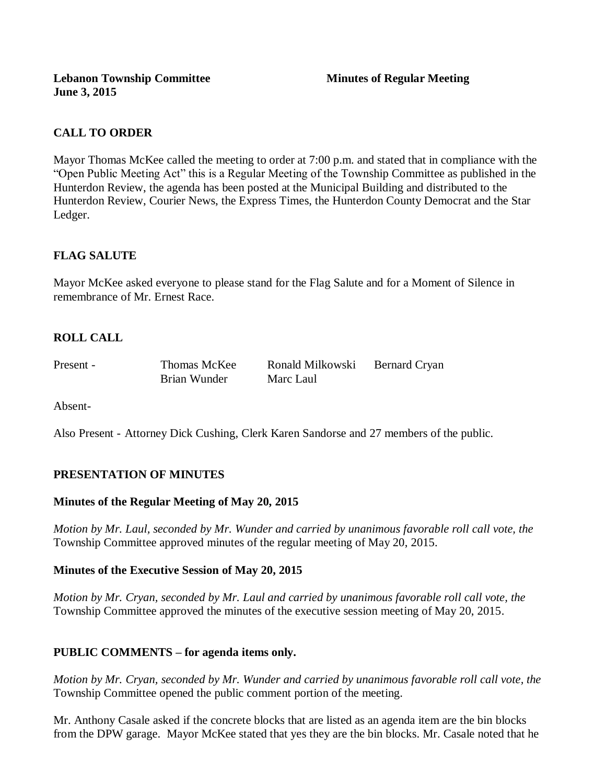**Lebanon Township Committee 3 All Minutes of Regular Meeting June 3, 2015**

## **CALL TO ORDER**

Mayor Thomas McKee called the meeting to order at 7:00 p.m. and stated that in compliance with the "Open Public Meeting Act" this is a Regular Meeting of the Township Committee as published in the Hunterdon Review, the agenda has been posted at the Municipal Building and distributed to the Hunterdon Review, Courier News, the Express Times, the Hunterdon County Democrat and the Star Ledger.

### **FLAG SALUTE**

Mayor McKee asked everyone to please stand for the Flag Salute and for a Moment of Silence in remembrance of Mr. Ernest Race.

## **ROLL CALL**

Brian Wunder Marc Laul

Present - Thomas McKee Ronald Milkowski Bernard Cryan

Absent-

Also Present - Attorney Dick Cushing, Clerk Karen Sandorse and 27 members of the public.

### **PRESENTATION OF MINUTES**

### **Minutes of the Regular Meeting of May 20, 2015**

*Motion by Mr. Laul, seconded by Mr. Wunder and carried by unanimous favorable roll call vote, the*  Township Committee approved minutes of the regular meeting of May 20, 2015.

### **Minutes of the Executive Session of May 20, 2015**

*Motion by Mr. Cryan, seconded by Mr. Laul and carried by unanimous favorable roll call vote, the*  Township Committee approved the minutes of the executive session meeting of May 20, 2015.

### **PUBLIC COMMENTS – for agenda items only.**

*Motion by Mr. Cryan, seconded by Mr. Wunder and carried by unanimous favorable roll call vote, the* Township Committee opened the public comment portion of the meeting.

Mr. Anthony Casale asked if the concrete blocks that are listed as an agenda item are the bin blocks from the DPW garage. Mayor McKee stated that yes they are the bin blocks. Mr. Casale noted that he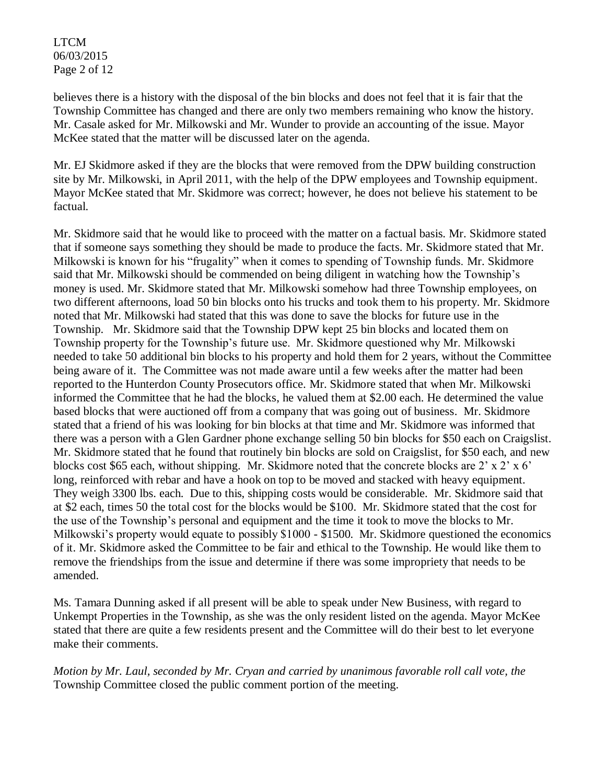LTCM 06/03/2015 Page 2 of 12

believes there is a history with the disposal of the bin blocks and does not feel that it is fair that the Township Committee has changed and there are only two members remaining who know the history. Mr. Casale asked for Mr. Milkowski and Mr. Wunder to provide an accounting of the issue. Mayor McKee stated that the matter will be discussed later on the agenda.

Mr. EJ Skidmore asked if they are the blocks that were removed from the DPW building construction site by Mr. Milkowski, in April 2011, with the help of the DPW employees and Township equipment. Mayor McKee stated that Mr. Skidmore was correct; however, he does not believe his statement to be factual.

Mr. Skidmore said that he would like to proceed with the matter on a factual basis. Mr. Skidmore stated that if someone says something they should be made to produce the facts. Mr. Skidmore stated that Mr. Milkowski is known for his "frugality" when it comes to spending of Township funds. Mr. Skidmore said that Mr. Milkowski should be commended on being diligent in watching how the Township's money is used. Mr. Skidmore stated that Mr. Milkowski somehow had three Township employees, on two different afternoons, load 50 bin blocks onto his trucks and took them to his property. Mr. Skidmore noted that Mr. Milkowski had stated that this was done to save the blocks for future use in the Township. Mr. Skidmore said that the Township DPW kept 25 bin blocks and located them on Township property for the Township's future use. Mr. Skidmore questioned why Mr. Milkowski needed to take 50 additional bin blocks to his property and hold them for 2 years, without the Committee being aware of it. The Committee was not made aware until a few weeks after the matter had been reported to the Hunterdon County Prosecutors office. Mr. Skidmore stated that when Mr. Milkowski informed the Committee that he had the blocks, he valued them at \$2.00 each. He determined the value based blocks that were auctioned off from a company that was going out of business. Mr. Skidmore stated that a friend of his was looking for bin blocks at that time and Mr. Skidmore was informed that there was a person with a Glen Gardner phone exchange selling 50 bin blocks for \$50 each on Craigslist. Mr. Skidmore stated that he found that routinely bin blocks are sold on Craigslist, for \$50 each, and new blocks cost \$65 each, without shipping. Mr. Skidmore noted that the concrete blocks are 2' x 2' x 6' long, reinforced with rebar and have a hook on top to be moved and stacked with heavy equipment. They weigh 3300 lbs. each. Due to this, shipping costs would be considerable. Mr. Skidmore said that at \$2 each, times 50 the total cost for the blocks would be \$100. Mr. Skidmore stated that the cost for the use of the Township's personal and equipment and the time it took to move the blocks to Mr. Milkowski's property would equate to possibly \$1000 - \$1500. Mr. Skidmore questioned the economics of it. Mr. Skidmore asked the Committee to be fair and ethical to the Township. He would like them to remove the friendships from the issue and determine if there was some impropriety that needs to be amended.

Ms. Tamara Dunning asked if all present will be able to speak under New Business, with regard to Unkempt Properties in the Township, as she was the only resident listed on the agenda. Mayor McKee stated that there are quite a few residents present and the Committee will do their best to let everyone make their comments.

*Motion by Mr. Laul, seconded by Mr. Cryan and carried by unanimous favorable roll call vote, the* Township Committee closed the public comment portion of the meeting.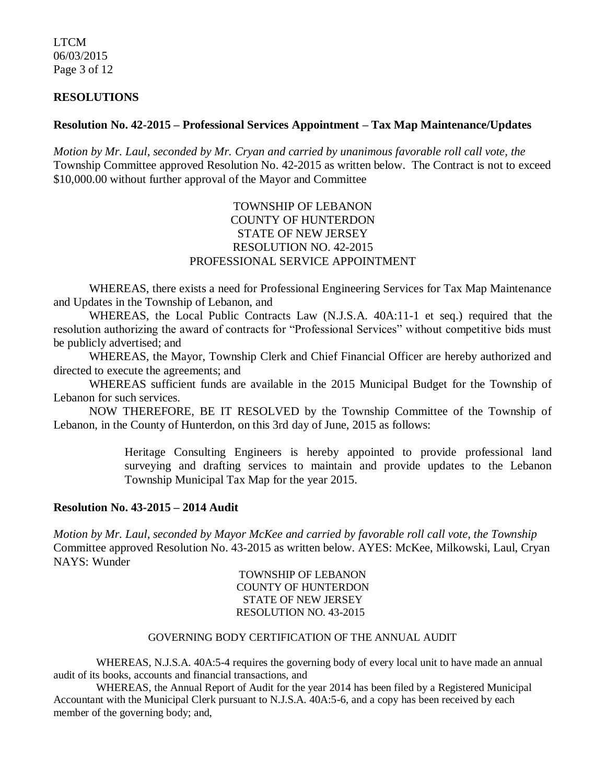LTCM 06/03/2015 Page 3 of 12

### **RESOLUTIONS**

#### **Resolution No. 42-2015 – Professional Services Appointment – Tax Map Maintenance/Updates**

*Motion by Mr. Laul, seconded by Mr. Cryan and carried by unanimous favorable roll call vote, the* Township Committee approved Resolution No. 42-2015 as written below. The Contract is not to exceed \$10,000.00 without further approval of the Mayor and Committee

### TOWNSHIP OF LEBANON COUNTY OF HUNTERDON STATE OF NEW JERSEY RESOLUTION NO. 42-2015 PROFESSIONAL SERVICE APPOINTMENT

WHEREAS, there exists a need for Professional Engineering Services for Tax Map Maintenance and Updates in the Township of Lebanon, and

WHEREAS, the Local Public Contracts Law (N.J.S.A. 40A:11-1 et seq.) required that the resolution authorizing the award of contracts for "Professional Services" without competitive bids must be publicly advertised; and

WHEREAS, the Mayor, Township Clerk and Chief Financial Officer are hereby authorized and directed to execute the agreements; and

WHEREAS sufficient funds are available in the 2015 Municipal Budget for the Township of Lebanon for such services.

NOW THEREFORE, BE IT RESOLVED by the Township Committee of the Township of Lebanon, in the County of Hunterdon, on this 3rd day of June, 2015 as follows:

> Heritage Consulting Engineers is hereby appointed to provide professional land surveying and drafting services to maintain and provide updates to the Lebanon Township Municipal Tax Map for the year 2015.

#### **Resolution No. 43-2015 – 2014 Audit**

*Motion by Mr. Laul, seconded by Mayor McKee and carried by favorable roll call vote, the Township* Committee approved Resolution No. 43-2015 as written below. AYES: McKee, Milkowski, Laul, Cryan NAYS: Wunder

> TOWNSHIP OF LEBANON COUNTY OF HUNTERDON STATE OF NEW JERSEY RESOLUTION NO. 43-2015

#### GOVERNING BODY CERTIFICATION OF THE ANNUAL AUDIT

WHEREAS, N.J.S.A. 40A:5-4 requires the governing body of every local unit to have made an annual audit of its books, accounts and financial transactions, and

WHEREAS, the Annual Report of Audit for the year 2014 has been filed by a Registered Municipal Accountant with the Municipal Clerk pursuant to N.J.S.A. 40A:5-6, and a copy has been received by each member of the governing body; and,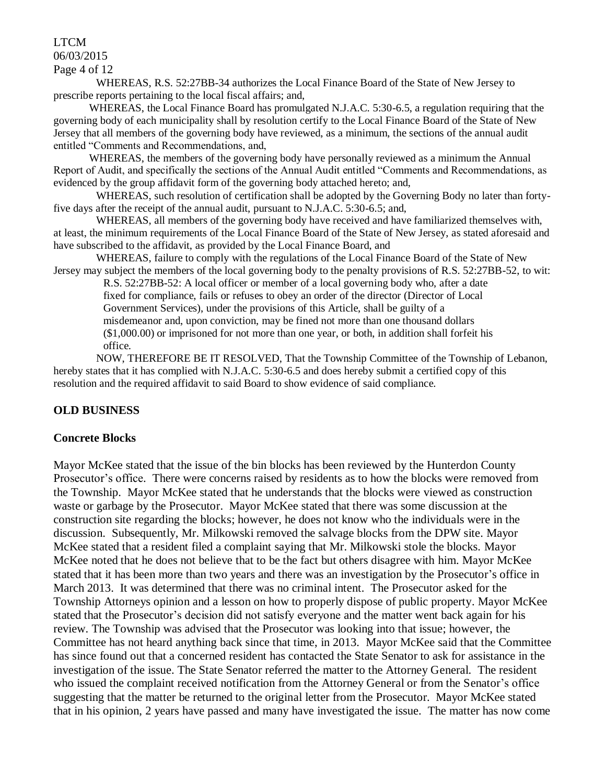#### LTCM 06/03/2015

Page 4 of 12

WHEREAS, R.S. 52:27BB-34 authorizes the Local Finance Board of the State of New Jersey to prescribe reports pertaining to the local fiscal affairs; and,

WHEREAS, the Local Finance Board has promulgated N.J.A.C. 5:30-6.5, a regulation requiring that the governing body of each municipality shall by resolution certify to the Local Finance Board of the State of New Jersey that all members of the governing body have reviewed, as a minimum, the sections of the annual audit entitled "Comments and Recommendations, and,

WHEREAS, the members of the governing body have personally reviewed as a minimum the Annual Report of Audit, and specifically the sections of the Annual Audit entitled "Comments and Recommendations, as evidenced by the group affidavit form of the governing body attached hereto; and,

WHEREAS, such resolution of certification shall be adopted by the Governing Body no later than fortyfive days after the receipt of the annual audit, pursuant to N.J.A.C. 5:30-6.5; and,

WHEREAS, all members of the governing body have received and have familiarized themselves with, at least, the minimum requirements of the Local Finance Board of the State of New Jersey, as stated aforesaid and have subscribed to the affidavit, as provided by the Local Finance Board, and

WHEREAS, failure to comply with the regulations of the Local Finance Board of the State of New Jersey may subject the members of the local governing body to the penalty provisions of R.S. 52:27BB-52, to wit:

R.S. 52:27BB-52: A local officer or member of a local governing body who, after a date

fixed for compliance, fails or refuses to obey an order of the director (Director of Local

Government Services), under the provisions of this Article, shall be guilty of a

misdemeanor and, upon conviction, may be fined not more than one thousand dollars

(\$1,000.00) or imprisoned for not more than one year, or both, in addition shall forfeit his office.

NOW, THEREFORE BE IT RESOLVED, That the Township Committee of the Township of Lebanon, hereby states that it has complied with N.J.A.C. 5:30-6.5 and does hereby submit a certified copy of this resolution and the required affidavit to said Board to show evidence of said compliance.

# **OLD BUSINESS**

## **Concrete Blocks**

Mayor McKee stated that the issue of the bin blocks has been reviewed by the Hunterdon County Prosecutor's office. There were concerns raised by residents as to how the blocks were removed from the Township. Mayor McKee stated that he understands that the blocks were viewed as construction waste or garbage by the Prosecutor. Mayor McKee stated that there was some discussion at the construction site regarding the blocks; however, he does not know who the individuals were in the discussion. Subsequently, Mr. Milkowski removed the salvage blocks from the DPW site. Mayor McKee stated that a resident filed a complaint saying that Mr. Milkowski stole the blocks. Mayor McKee noted that he does not believe that to be the fact but others disagree with him. Mayor McKee stated that it has been more than two years and there was an investigation by the Prosecutor's office in March 2013. It was determined that there was no criminal intent. The Prosecutor asked for the Township Attorneys opinion and a lesson on how to properly dispose of public property. Mayor McKee stated that the Prosecutor's decision did not satisfy everyone and the matter went back again for his review. The Township was advised that the Prosecutor was looking into that issue; however, the Committee has not heard anything back since that time, in 2013. Mayor McKee said that the Committee has since found out that a concerned resident has contacted the State Senator to ask for assistance in the investigation of the issue. The State Senator referred the matter to the Attorney General. The resident who issued the complaint received notification from the Attorney General or from the Senator's office suggesting that the matter be returned to the original letter from the Prosecutor. Mayor McKee stated that in his opinion, 2 years have passed and many have investigated the issue. The matter has now come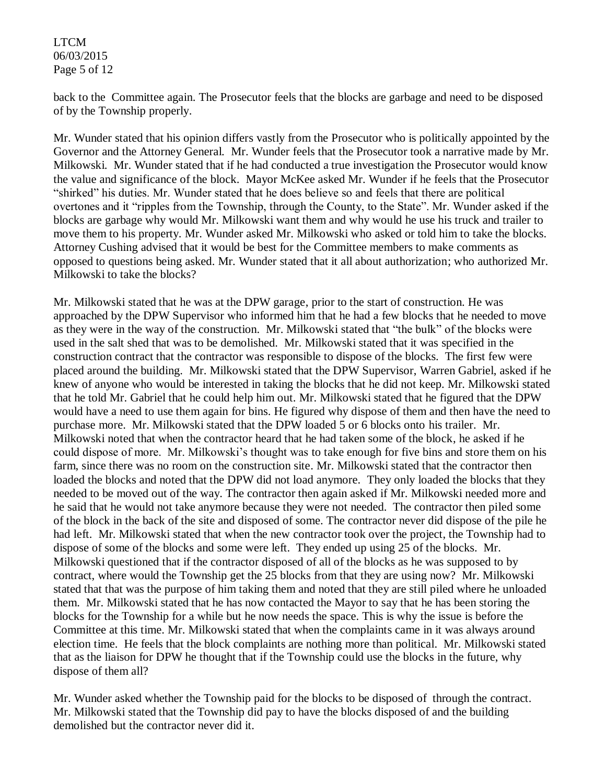### LTCM 06/03/2015 Page 5 of 12

back to the Committee again. The Prosecutor feels that the blocks are garbage and need to be disposed of by the Township properly.

Mr. Wunder stated that his opinion differs vastly from the Prosecutor who is politically appointed by the Governor and the Attorney General. Mr. Wunder feels that the Prosecutor took a narrative made by Mr. Milkowski. Mr. Wunder stated that if he had conducted a true investigation the Prosecutor would know the value and significance of the block. Mayor McKee asked Mr. Wunder if he feels that the Prosecutor "shirked" his duties. Mr. Wunder stated that he does believe so and feels that there are political overtones and it "ripples from the Township, through the County, to the State". Mr. Wunder asked if the blocks are garbage why would Mr. Milkowski want them and why would he use his truck and trailer to move them to his property. Mr. Wunder asked Mr. Milkowski who asked or told him to take the blocks. Attorney Cushing advised that it would be best for the Committee members to make comments as opposed to questions being asked. Mr. Wunder stated that it all about authorization; who authorized Mr. Milkowski to take the blocks?

Mr. Milkowski stated that he was at the DPW garage, prior to the start of construction. He was approached by the DPW Supervisor who informed him that he had a few blocks that he needed to move as they were in the way of the construction. Mr. Milkowski stated that "the bulk" of the blocks were used in the salt shed that was to be demolished. Mr. Milkowski stated that it was specified in the construction contract that the contractor was responsible to dispose of the blocks. The first few were placed around the building. Mr. Milkowski stated that the DPW Supervisor, Warren Gabriel, asked if he knew of anyone who would be interested in taking the blocks that he did not keep. Mr. Milkowski stated that he told Mr. Gabriel that he could help him out. Mr. Milkowski stated that he figured that the DPW would have a need to use them again for bins. He figured why dispose of them and then have the need to purchase more. Mr. Milkowski stated that the DPW loaded 5 or 6 blocks onto his trailer. Mr. Milkowski noted that when the contractor heard that he had taken some of the block, he asked if he could dispose of more. Mr. Milkowski's thought was to take enough for five bins and store them on his farm, since there was no room on the construction site. Mr. Milkowski stated that the contractor then loaded the blocks and noted that the DPW did not load anymore. They only loaded the blocks that they needed to be moved out of the way. The contractor then again asked if Mr. Milkowski needed more and he said that he would not take anymore because they were not needed. The contractor then piled some of the block in the back of the site and disposed of some. The contractor never did dispose of the pile he had left. Mr. Milkowski stated that when the new contractor took over the project, the Township had to dispose of some of the blocks and some were left. They ended up using 25 of the blocks. Mr. Milkowski questioned that if the contractor disposed of all of the blocks as he was supposed to by contract, where would the Township get the 25 blocks from that they are using now? Mr. Milkowski stated that that was the purpose of him taking them and noted that they are still piled where he unloaded them. Mr. Milkowski stated that he has now contacted the Mayor to say that he has been storing the blocks for the Township for a while but he now needs the space. This is why the issue is before the Committee at this time. Mr. Milkowski stated that when the complaints came in it was always around election time. He feels that the block complaints are nothing more than political. Mr. Milkowski stated that as the liaison for DPW he thought that if the Township could use the blocks in the future, why dispose of them all?

Mr. Wunder asked whether the Township paid for the blocks to be disposed of through the contract. Mr. Milkowski stated that the Township did pay to have the blocks disposed of and the building demolished but the contractor never did it.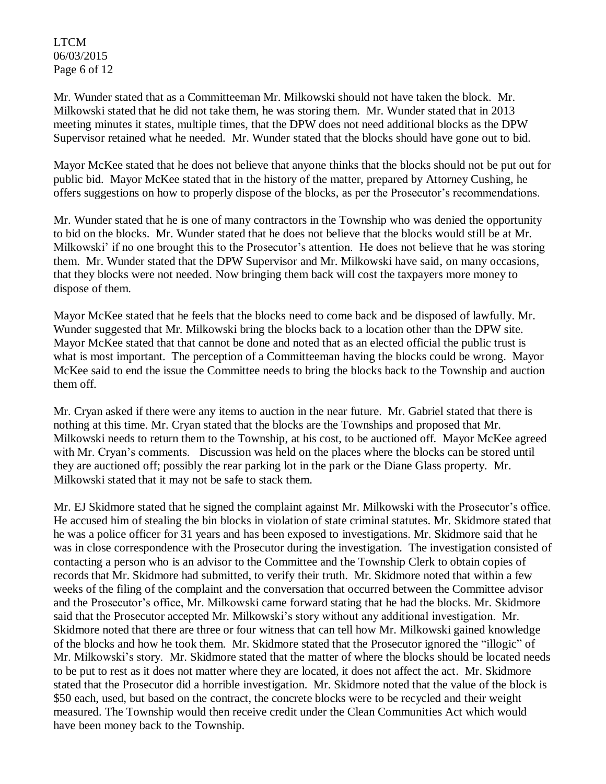LTCM 06/03/2015 Page 6 of 12

Mr. Wunder stated that as a Committeeman Mr. Milkowski should not have taken the block. Mr. Milkowski stated that he did not take them, he was storing them. Mr. Wunder stated that in 2013 meeting minutes it states, multiple times, that the DPW does not need additional blocks as the DPW Supervisor retained what he needed. Mr. Wunder stated that the blocks should have gone out to bid.

Mayor McKee stated that he does not believe that anyone thinks that the blocks should not be put out for public bid. Mayor McKee stated that in the history of the matter, prepared by Attorney Cushing, he offers suggestions on how to properly dispose of the blocks, as per the Prosecutor's recommendations.

Mr. Wunder stated that he is one of many contractors in the Township who was denied the opportunity to bid on the blocks. Mr. Wunder stated that he does not believe that the blocks would still be at Mr. Milkowski' if no one brought this to the Prosecutor's attention. He does not believe that he was storing them. Mr. Wunder stated that the DPW Supervisor and Mr. Milkowski have said, on many occasions, that they blocks were not needed. Now bringing them back will cost the taxpayers more money to dispose of them.

Mayor McKee stated that he feels that the blocks need to come back and be disposed of lawfully. Mr. Wunder suggested that Mr. Milkowski bring the blocks back to a location other than the DPW site. Mayor McKee stated that that cannot be done and noted that as an elected official the public trust is what is most important. The perception of a Committeeman having the blocks could be wrong. Mayor McKee said to end the issue the Committee needs to bring the blocks back to the Township and auction them off.

Mr. Cryan asked if there were any items to auction in the near future. Mr. Gabriel stated that there is nothing at this time. Mr. Cryan stated that the blocks are the Townships and proposed that Mr. Milkowski needs to return them to the Township, at his cost, to be auctioned off. Mayor McKee agreed with Mr. Cryan's comments. Discussion was held on the places where the blocks can be stored until they are auctioned off; possibly the rear parking lot in the park or the Diane Glass property. Mr. Milkowski stated that it may not be safe to stack them.

Mr. EJ Skidmore stated that he signed the complaint against Mr. Milkowski with the Prosecutor's office. He accused him of stealing the bin blocks in violation of state criminal statutes. Mr. Skidmore stated that he was a police officer for 31 years and has been exposed to investigations. Mr. Skidmore said that he was in close correspondence with the Prosecutor during the investigation. The investigation consisted of contacting a person who is an advisor to the Committee and the Township Clerk to obtain copies of records that Mr. Skidmore had submitted, to verify their truth. Mr. Skidmore noted that within a few weeks of the filing of the complaint and the conversation that occurred between the Committee advisor and the Prosecutor's office, Mr. Milkowski came forward stating that he had the blocks. Mr. Skidmore said that the Prosecutor accepted Mr. Milkowski's story without any additional investigation. Mr. Skidmore noted that there are three or four witness that can tell how Mr. Milkowski gained knowledge of the blocks and how he took them. Mr. Skidmore stated that the Prosecutor ignored the "illogic" of Mr. Milkowski's story. Mr. Skidmore stated that the matter of where the blocks should be located needs to be put to rest as it does not matter where they are located, it does not affect the act. Mr. Skidmore stated that the Prosecutor did a horrible investigation. Mr. Skidmore noted that the value of the block is \$50 each, used, but based on the contract, the concrete blocks were to be recycled and their weight measured. The Township would then receive credit under the Clean Communities Act which would have been money back to the Township.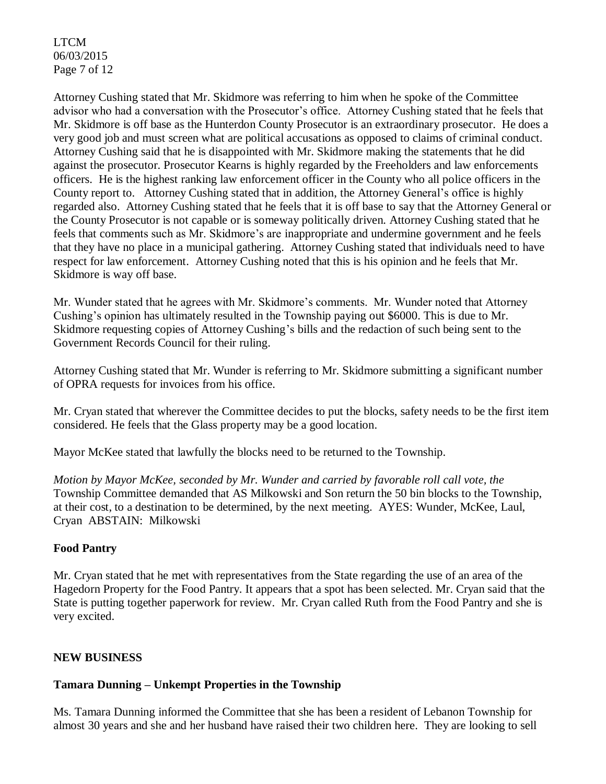LTCM 06/03/2015 Page 7 of 12

Attorney Cushing stated that Mr. Skidmore was referring to him when he spoke of the Committee advisor who had a conversation with the Prosecutor's office. Attorney Cushing stated that he feels that Mr. Skidmore is off base as the Hunterdon County Prosecutor is an extraordinary prosecutor. He does a very good job and must screen what are political accusations as opposed to claims of criminal conduct. Attorney Cushing said that he is disappointed with Mr. Skidmore making the statements that he did against the prosecutor. Prosecutor Kearns is highly regarded by the Freeholders and law enforcements officers. He is the highest ranking law enforcement officer in the County who all police officers in the County report to. Attorney Cushing stated that in addition, the Attorney General's office is highly regarded also. Attorney Cushing stated that he feels that it is off base to say that the Attorney General or the County Prosecutor is not capable or is someway politically driven. Attorney Cushing stated that he feels that comments such as Mr. Skidmore's are inappropriate and undermine government and he feels that they have no place in a municipal gathering. Attorney Cushing stated that individuals need to have respect for law enforcement. Attorney Cushing noted that this is his opinion and he feels that Mr. Skidmore is way off base.

Mr. Wunder stated that he agrees with Mr. Skidmore's comments. Mr. Wunder noted that Attorney Cushing's opinion has ultimately resulted in the Township paying out \$6000. This is due to Mr. Skidmore requesting copies of Attorney Cushing's bills and the redaction of such being sent to the Government Records Council for their ruling.

Attorney Cushing stated that Mr. Wunder is referring to Mr. Skidmore submitting a significant number of OPRA requests for invoices from his office.

Mr. Cryan stated that wherever the Committee decides to put the blocks, safety needs to be the first item considered. He feels that the Glass property may be a good location.

Mayor McKee stated that lawfully the blocks need to be returned to the Township.

*Motion by Mayor McKee, seconded by Mr. Wunder and carried by favorable roll call vote, the* Township Committee demanded that AS Milkowski and Son return the 50 bin blocks to the Township, at their cost, to a destination to be determined, by the next meeting. AYES: Wunder, McKee, Laul, Cryan ABSTAIN: Milkowski

## **Food Pantry**

Mr. Cryan stated that he met with representatives from the State regarding the use of an area of the Hagedorn Property for the Food Pantry. It appears that a spot has been selected. Mr. Cryan said that the State is putting together paperwork for review. Mr. Cryan called Ruth from the Food Pantry and she is very excited.

## **NEW BUSINESS**

## **Tamara Dunning – Unkempt Properties in the Township**

Ms. Tamara Dunning informed the Committee that she has been a resident of Lebanon Township for almost 30 years and she and her husband have raised their two children here. They are looking to sell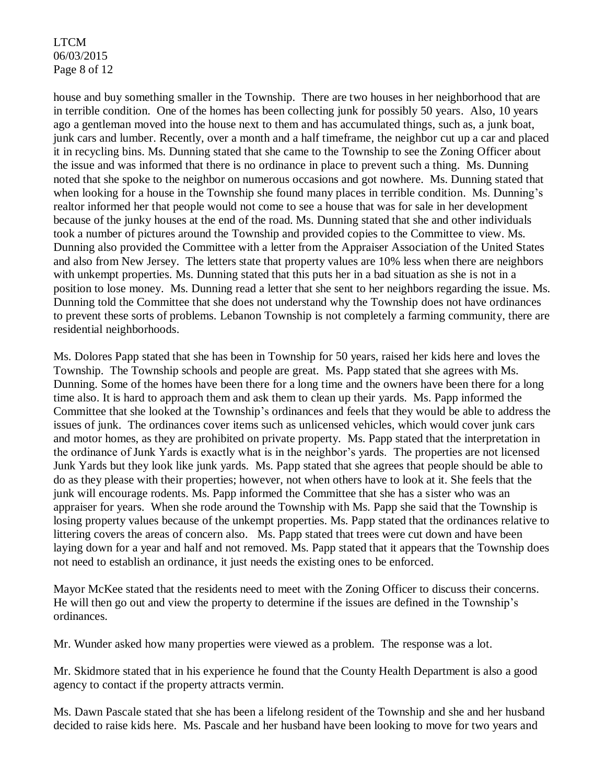LTCM 06/03/2015 Page 8 of 12

house and buy something smaller in the Township. There are two houses in her neighborhood that are in terrible condition. One of the homes has been collecting junk for possibly 50 years. Also, 10 years ago a gentleman moved into the house next to them and has accumulated things, such as, a junk boat, junk cars and lumber. Recently, over a month and a half timeframe, the neighbor cut up a car and placed it in recycling bins. Ms. Dunning stated that she came to the Township to see the Zoning Officer about the issue and was informed that there is no ordinance in place to prevent such a thing. Ms. Dunning noted that she spoke to the neighbor on numerous occasions and got nowhere. Ms. Dunning stated that when looking for a house in the Township she found many places in terrible condition. Ms. Dunning's realtor informed her that people would not come to see a house that was for sale in her development because of the junky houses at the end of the road. Ms. Dunning stated that she and other individuals took a number of pictures around the Township and provided copies to the Committee to view. Ms. Dunning also provided the Committee with a letter from the Appraiser Association of the United States and also from New Jersey. The letters state that property values are 10% less when there are neighbors with unkempt properties. Ms. Dunning stated that this puts her in a bad situation as she is not in a position to lose money. Ms. Dunning read a letter that she sent to her neighbors regarding the issue. Ms. Dunning told the Committee that she does not understand why the Township does not have ordinances to prevent these sorts of problems. Lebanon Township is not completely a farming community, there are residential neighborhoods.

Ms. Dolores Papp stated that she has been in Township for 50 years, raised her kids here and loves the Township. The Township schools and people are great. Ms. Papp stated that she agrees with Ms. Dunning. Some of the homes have been there for a long time and the owners have been there for a long time also. It is hard to approach them and ask them to clean up their yards. Ms. Papp informed the Committee that she looked at the Township's ordinances and feels that they would be able to address the issues of junk. The ordinances cover items such as unlicensed vehicles, which would cover junk cars and motor homes, as they are prohibited on private property. Ms. Papp stated that the interpretation in the ordinance of Junk Yards is exactly what is in the neighbor's yards. The properties are not licensed Junk Yards but they look like junk yards. Ms. Papp stated that she agrees that people should be able to do as they please with their properties; however, not when others have to look at it. She feels that the junk will encourage rodents. Ms. Papp informed the Committee that she has a sister who was an appraiser for years. When she rode around the Township with Ms. Papp she said that the Township is losing property values because of the unkempt properties. Ms. Papp stated that the ordinances relative to littering covers the areas of concern also. Ms. Papp stated that trees were cut down and have been laying down for a year and half and not removed. Ms. Papp stated that it appears that the Township does not need to establish an ordinance, it just needs the existing ones to be enforced.

Mayor McKee stated that the residents need to meet with the Zoning Officer to discuss their concerns. He will then go out and view the property to determine if the issues are defined in the Township's ordinances.

Mr. Wunder asked how many properties were viewed as a problem. The response was a lot.

Mr. Skidmore stated that in his experience he found that the County Health Department is also a good agency to contact if the property attracts vermin.

Ms. Dawn Pascale stated that she has been a lifelong resident of the Township and she and her husband decided to raise kids here. Ms. Pascale and her husband have been looking to move for two years and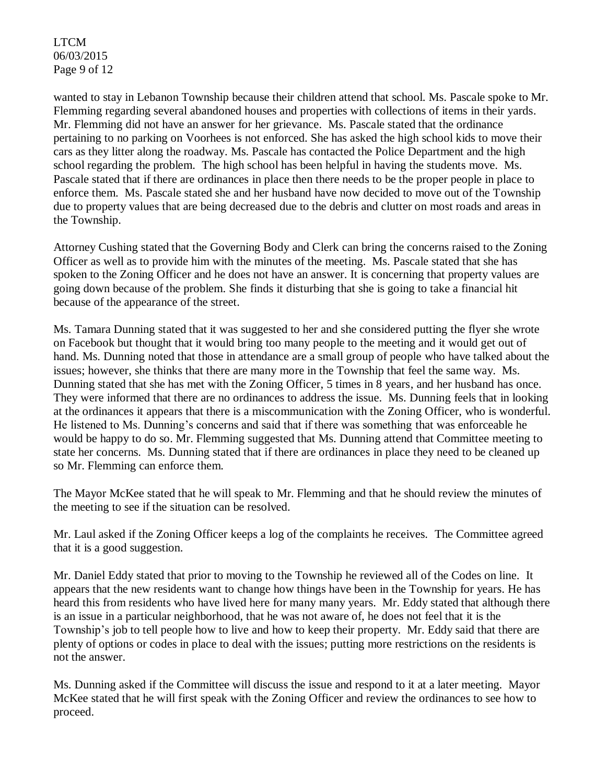LTCM 06/03/2015 Page 9 of 12

wanted to stay in Lebanon Township because their children attend that school. Ms. Pascale spoke to Mr. Flemming regarding several abandoned houses and properties with collections of items in their yards. Mr. Flemming did not have an answer for her grievance. Ms. Pascale stated that the ordinance pertaining to no parking on Voorhees is not enforced. She has asked the high school kids to move their cars as they litter along the roadway. Ms. Pascale has contacted the Police Department and the high school regarding the problem. The high school has been helpful in having the students move. Ms. Pascale stated that if there are ordinances in place then there needs to be the proper people in place to enforce them. Ms. Pascale stated she and her husband have now decided to move out of the Township due to property values that are being decreased due to the debris and clutter on most roads and areas in the Township.

Attorney Cushing stated that the Governing Body and Clerk can bring the concerns raised to the Zoning Officer as well as to provide him with the minutes of the meeting. Ms. Pascale stated that she has spoken to the Zoning Officer and he does not have an answer. It is concerning that property values are going down because of the problem. She finds it disturbing that she is going to take a financial hit because of the appearance of the street.

Ms. Tamara Dunning stated that it was suggested to her and she considered putting the flyer she wrote on Facebook but thought that it would bring too many people to the meeting and it would get out of hand. Ms. Dunning noted that those in attendance are a small group of people who have talked about the issues; however, she thinks that there are many more in the Township that feel the same way. Ms. Dunning stated that she has met with the Zoning Officer, 5 times in 8 years, and her husband has once. They were informed that there are no ordinances to address the issue. Ms. Dunning feels that in looking at the ordinances it appears that there is a miscommunication with the Zoning Officer, who is wonderful. He listened to Ms. Dunning's concerns and said that if there was something that was enforceable he would be happy to do so. Mr. Flemming suggested that Ms. Dunning attend that Committee meeting to state her concerns. Ms. Dunning stated that if there are ordinances in place they need to be cleaned up so Mr. Flemming can enforce them.

The Mayor McKee stated that he will speak to Mr. Flemming and that he should review the minutes of the meeting to see if the situation can be resolved.

Mr. Laul asked if the Zoning Officer keeps a log of the complaints he receives. The Committee agreed that it is a good suggestion.

Mr. Daniel Eddy stated that prior to moving to the Township he reviewed all of the Codes on line. It appears that the new residents want to change how things have been in the Township for years. He has heard this from residents who have lived here for many many years. Mr. Eddy stated that although there is an issue in a particular neighborhood, that he was not aware of, he does not feel that it is the Township's job to tell people how to live and how to keep their property. Mr. Eddy said that there are plenty of options or codes in place to deal with the issues; putting more restrictions on the residents is not the answer.

Ms. Dunning asked if the Committee will discuss the issue and respond to it at a later meeting. Mayor McKee stated that he will first speak with the Zoning Officer and review the ordinances to see how to proceed.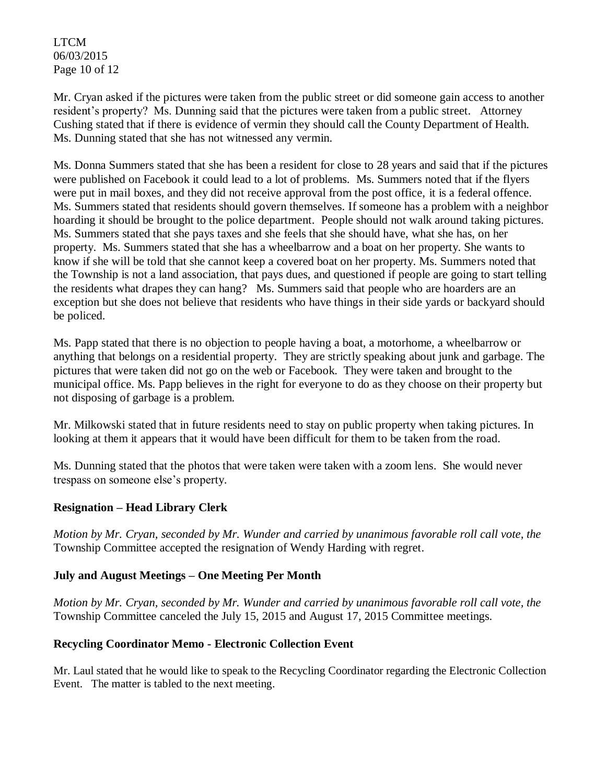LTCM 06/03/2015 Page 10 of 12

Mr. Cryan asked if the pictures were taken from the public street or did someone gain access to another resident's property? Ms. Dunning said that the pictures were taken from a public street. Attorney Cushing stated that if there is evidence of vermin they should call the County Department of Health. Ms. Dunning stated that she has not witnessed any vermin.

Ms. Donna Summers stated that she has been a resident for close to 28 years and said that if the pictures were published on Facebook it could lead to a lot of problems. Ms. Summers noted that if the flyers were put in mail boxes, and they did not receive approval from the post office, it is a federal offence. Ms. Summers stated that residents should govern themselves. If someone has a problem with a neighbor hoarding it should be brought to the police department. People should not walk around taking pictures. Ms. Summers stated that she pays taxes and she feels that she should have, what she has, on her property. Ms. Summers stated that she has a wheelbarrow and a boat on her property. She wants to know if she will be told that she cannot keep a covered boat on her property. Ms. Summers noted that the Township is not a land association, that pays dues, and questioned if people are going to start telling the residents what drapes they can hang? Ms. Summers said that people who are hoarders are an exception but she does not believe that residents who have things in their side yards or backyard should be policed.

Ms. Papp stated that there is no objection to people having a boat, a motorhome, a wheelbarrow or anything that belongs on a residential property. They are strictly speaking about junk and garbage. The pictures that were taken did not go on the web or Facebook. They were taken and brought to the municipal office. Ms. Papp believes in the right for everyone to do as they choose on their property but not disposing of garbage is a problem.

Mr. Milkowski stated that in future residents need to stay on public property when taking pictures. In looking at them it appears that it would have been difficult for them to be taken from the road.

Ms. Dunning stated that the photos that were taken were taken with a zoom lens. She would never trespass on someone else's property.

## **Resignation – Head Library Clerk**

*Motion by Mr. Cryan, seconded by Mr. Wunder and carried by unanimous favorable roll call vote, the* Township Committee accepted the resignation of Wendy Harding with regret.

## **July and August Meetings – One Meeting Per Month**

*Motion by Mr. Cryan, seconded by Mr. Wunder and carried by unanimous favorable roll call vote, the* Township Committee canceled the July 15, 2015 and August 17, 2015 Committee meetings.

## **Recycling Coordinator Memo - Electronic Collection Event**

Mr. Laul stated that he would like to speak to the Recycling Coordinator regarding the Electronic Collection Event. The matter is tabled to the next meeting.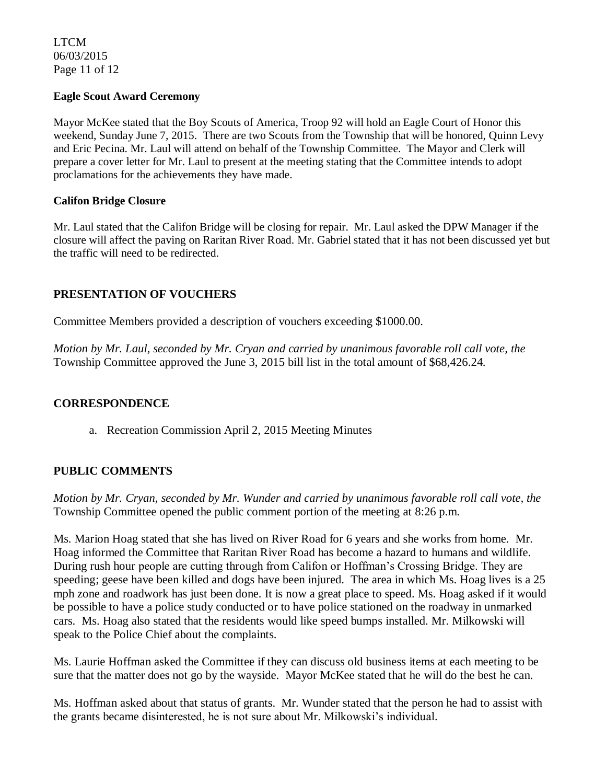LTCM 06/03/2015 Page 11 of 12

#### **Eagle Scout Award Ceremony**

Mayor McKee stated that the Boy Scouts of America, Troop 92 will hold an Eagle Court of Honor this weekend, Sunday June 7, 2015. There are two Scouts from the Township that will be honored, Quinn Levy and Eric Pecina. Mr. Laul will attend on behalf of the Township Committee. The Mayor and Clerk will prepare a cover letter for Mr. Laul to present at the meeting stating that the Committee intends to adopt proclamations for the achievements they have made.

#### **Califon Bridge Closure**

Mr. Laul stated that the Califon Bridge will be closing for repair. Mr. Laul asked the DPW Manager if the closure will affect the paving on Raritan River Road. Mr. Gabriel stated that it has not been discussed yet but the traffic will need to be redirected.

### **PRESENTATION OF VOUCHERS**

Committee Members provided a description of vouchers exceeding \$1000.00.

*Motion by Mr. Laul, seconded by Mr. Cryan and carried by unanimous favorable roll call vote, the* Township Committee approved the June 3, 2015 bill list in the total amount of \$68,426.24.

### **CORRESPONDENCE**

a. Recreation Commission April 2, 2015 Meeting Minutes

### **PUBLIC COMMENTS**

*Motion by Mr. Cryan, seconded by Mr. Wunder and carried by unanimous favorable roll call vote, the* Township Committee opened the public comment portion of the meeting at 8:26 p.m.

Ms. Marion Hoag stated that she has lived on River Road for 6 years and she works from home. Mr. Hoag informed the Committee that Raritan River Road has become a hazard to humans and wildlife. During rush hour people are cutting through from Califon or Hoffman's Crossing Bridge. They are speeding; geese have been killed and dogs have been injured. The area in which Ms. Hoag lives is a 25 mph zone and roadwork has just been done. It is now a great place to speed. Ms. Hoag asked if it would be possible to have a police study conducted or to have police stationed on the roadway in unmarked cars. Ms. Hoag also stated that the residents would like speed bumps installed. Mr. Milkowski will speak to the Police Chief about the complaints.

Ms. Laurie Hoffman asked the Committee if they can discuss old business items at each meeting to be sure that the matter does not go by the wayside. Mayor McKee stated that he will do the best he can.

Ms. Hoffman asked about that status of grants. Mr. Wunder stated that the person he had to assist with the grants became disinterested, he is not sure about Mr. Milkowski's individual.